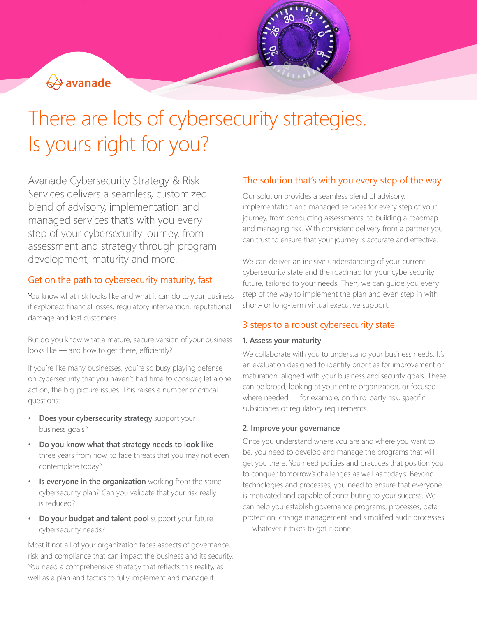

# There are lots of cybersecurity strategies. Is yours right for you?

Avanade Cybersecurity Strategy & Risk Services delivers a seamless, customized blend of advisory, implementation and managed services that's with you every step of your cybersecurity journey, from assessment and strategy through program development, maturity and more.

## Get on the path to cybersecurity maturity, fast

You know what risk looks like and what it can do to your business if exploited: financial losses, regulatory intervention, reputational damage and lost customers.

But do you know what a mature, secure version of your business looks like — and how to get there, efficiently?

If you're like many businesses, you're so busy playing defense on cybersecurity that you haven't had time to consider, let alone act on, the big-picture issues. This raises a number of critical questions:

- **Does your cybersecurity strategy** support your business goals?
- **Do you know what that strategy needs to look like** three years from now, to face threats that you may not even contemplate today?
- **Is everyone in the organization** working from the same cybersecurity plan? Can you validate that your risk really is reduced?
- **Do your budget and talent pool** support your future cybersecurity needs?

Most if not all of your organization faces aspects of governance, risk and compliance that can impact the business and its security. You need a comprehensive strategy that reflects this reality, as well as a plan and tactics to fully implement and manage it.

## The solution that's with you every step of the way

Our solution provides a seamless blend of advisory, implementation and managed services for every step of your journey, from conducting assessments, to building a roadmap and managing risk. With consistent delivery from a partner you can trust to ensure that your journey is accurate and effective.

We can deliver an incisive understanding of your current cybersecurity state and the roadmap for your cybersecurity future, tailored to your needs. Then, we can guide you every step of the way to implement the plan and even step in with short- or long-term virtual executive support.

## 3 steps to a robust cybersecurity state

### **1. Assess your maturity**

We collaborate with you to understand your business needs. It's an evaluation designed to identify priorities for improvement or maturation, aligned with your business and security goals. These can be broad, looking at your entire organization, or focused where needed — for example, on third-party risk, specific subsidiaries or regulatory requirements.

### **2. Improve your governance**

Once you understand where you are and where you want to be, you need to develop and manage the programs that will get you there. You need policies and practices that position you to conquer tomorrow's challenges as well as today's. Beyond technologies and processes, you need to ensure that everyone is motivated and capable of contributing to your success. We can help you establish governance programs, processes, data protection, change management and simplified audit processes — whatever it takes to get it done.